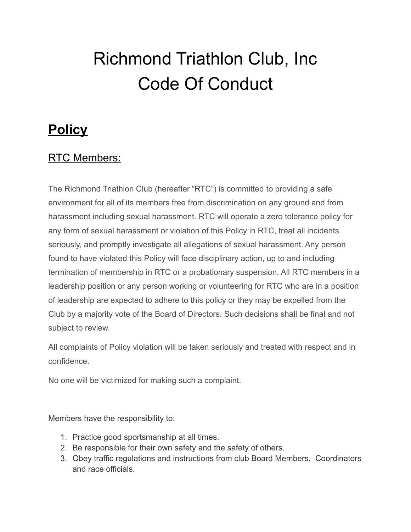# Richmond Triathlon Club, Inc Code Of Conduct

## **Policy**

### RTC Members:

The Richmond Triathlon Club (hereafter "RTC") is committed to providing a safe environment for all of its members free from discrimination on any ground and from harassment including sexual harassment. RTC will operate a zero tolerance policy for any form of sexual harassment or violation of this Policy in RTC, treat all incidents seriously, and promptly investigate all allegations of sexual harassment. Any person found to have violated this Policy will face disciplinary action, up to and including termination of membership in RTC or a probationary suspension. All RTC members in a leadership position or any person working or volunteering for RTC who are in a position of leadership are expected to adhere to this policy or they may be expelled from the Club by a majority vote of the Board of Directors. Such decisions shall be final and not subject to review.

All complaints of Policy violation will be taken seriously and treated with respect and in confidence.

No one will be victimized for making such a complaint.

Members have the responsibility to:

- 1. Practice good sportsmanship at all times.
- 2. Be responsible for their own safety and the safety of others.
- 3. Obey traffic regulations and instructions from club Board Members, Coordinators and race officials.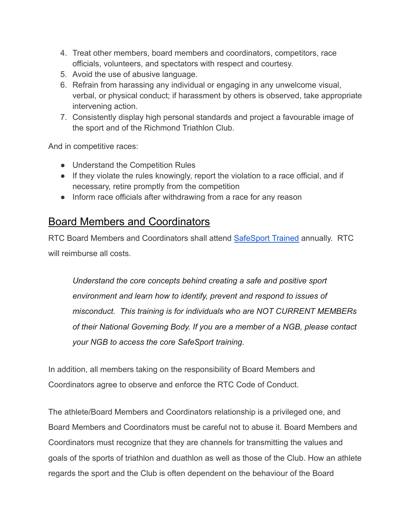- 4. Treat other members, board members and coordinators, competitors, race officials, volunteers, and spectators with respect and courtesy.
- 5. Avoid the use of abusive language.
- 6. Refrain from harassing any individual or engaging in any unwelcome visual, verbal, or physical conduct; if harassment by others is observed, take appropriate intervening action.
- 7. Consistently display high personal standards and project a favourable image of the sport and of the Richmond Triathlon Club.

And in competitive races:

- Understand the Competition Rules
- If they violate the rules knowingly, report the violation to a race official, and if necessary, retire promptly from the competition
- Inform race officials after withdrawing from a race for any reason

#### Board Members and Coordinators

RTC Board Members and Coordinators shall attend [SafeSport](https://www.athletesafety.org/training/index) Trained annually. RTC will reimburse all costs.

*Understand the core concepts behind creating a safe and positive sport environment and learn how to identify, prevent and respond to issues of misconduct. This training is for individuals who are NOT CURRENT MEMBERs of their National Governing Body. If you are a member of a NGB, please contact your NGB to access the core SafeSport training*.

In addition, all members taking on the responsibility of Board Members and Coordinators agree to observe and enforce the RTC Code of Conduct.

The athlete/Board Members and Coordinators relationship is a privileged one, and Board Members and Coordinators must be careful not to abuse it. Board Members and Coordinators must recognize that they are channels for transmitting the values and goals of the sports of triathlon and duathlon as well as those of the Club. How an athlete regards the sport and the Club is often dependent on the behaviour of the Board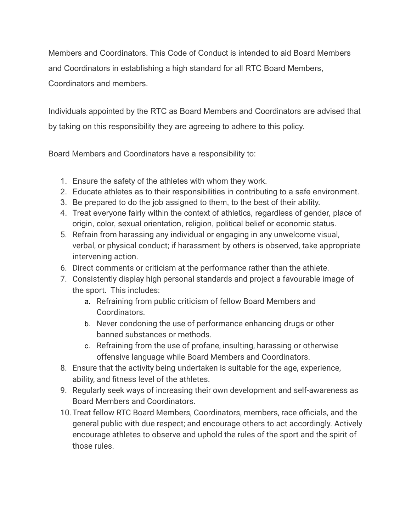Members and Coordinators. This Code of Conduct is intended to aid Board Members and Coordinators in establishing a high standard for all RTC Board Members, Coordinators and members.

Individuals appointed by the RTC as Board Members and Coordinators are advised that by taking on this responsibility they are agreeing to adhere to this policy.

Board Members and Coordinators have a responsibility to:

- 1. Ensure the safety of the athletes with whom they work.
- 2. Educate athletes as to their responsibilities in contributing to a safe environment.
- 3. Be prepared to do the job assigned to them, to the best of their ability.
- 4. Treat everyone fairly within the context of athletics, regardless of gender, place of origin, color, sexual orientation, religion, political belief or economic status.
- 5. Refrain from harassing any individual or engaging in any unwelcome visual, verbal, or physical conduct; if harassment by others is observed, take appropriate intervening action.
- 6. Direct comments or criticism at the performance rather than the athlete.
- 7. Consistently display high personal standards and project a favourable image of the sport. This includes:
	- a. Refraining from public criticism of fellow Board Members and Coordinators.
	- b. Never condoning the use of performance enhancing drugs or other banned substances or methods.
	- c. Refraining from the use of profane, insulting, harassing or otherwise offensive language while Board Members and Coordinators.
- 8. Ensure that the activity being undertaken is suitable for the age, experience, ability, and fitness level of the athletes.
- 9. Regularly seek ways of increasing their own development and self-awareness as Board Members and Coordinators.
- 10.Treat fellow RTC Board Members, Coordinators, members, race officials, and the general public with due respect; and encourage others to act accordingly. Actively encourage athletes to observe and uphold the rules of the sport and the spirit of those rules.